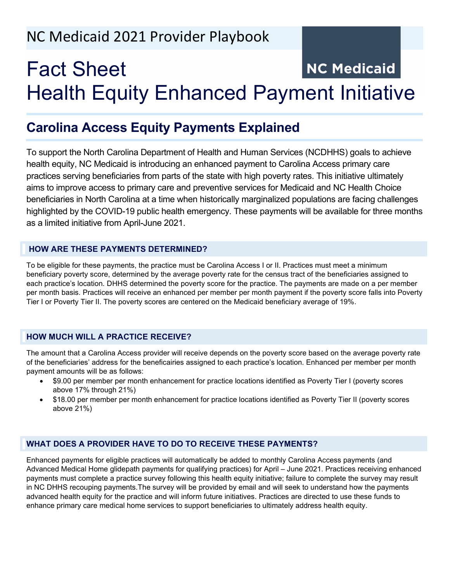# NC Medicaid 2021 Provider Playbook

## Fact Sheet **NC Medicaid** Health Equity Enhanced Payment Initiative

### **Carolina Access Equity Payments Explained**

To support the North Carolina Department of Health and Human Services (NCDHHS) goals to achieve health equity, NC Medicaid is introducing an enhanced payment to Carolina Access primary care practices serving beneficiaries from parts of the state with high poverty rates. This initiative ultimately aims to improve access to primary care and preventive services for Medicaid and NC Health Choice beneficiaries in North Carolina at a time when historically marginalized populations are facing challenges highlighted by the COVID-19 public health emergency. These payments will be available for three months as a limited initiative from April-June 2021.

#### **HOW ARE THESE PAYMENTS DETERMINED?**

To be eligible for these payments, the practice must be Carolina Access I or II. Practices must meet a minimum beneficiary poverty score, determined by the average poverty rate for the census tract of the beneficiaries assigned to each practice's location. DHHS determined the poverty score for the practice. The payments are made on a per member per month basis. Practices will receive an enhanced per member per month payment if the poverty score falls into Poverty Tier I or Poverty Tier II. The poverty scores are centered on the Medicaid beneficiary average of 19%.

#### **HOW MUCH WILL A PRACTICE RECEIVE?**

The amount that a Carolina Access provider will receive depends on the poverty score based on the average poverty rate of the beneficiaries' address for the beneficairies assigned to each practice's location. Enhanced per member per month payment amounts will be as follows:

- \$9.00 per member per month enhancement for practice locations identified as Poverty Tier I (poverty scores above 17% through 21%)
- \$18.00 per member per month enhancement for practice locations identified as Poverty Tier II (poverty scores above 21%)

#### **WHAT DOES A PROVIDER HAVE TO DO TO RECEIVE THESE PAYMENTS?**

Enhanced payments for eligible practices will automatically be added to monthly Carolina Access payments (and Advanced Medical Home glidepath payments for qualifying practices) for April – June 2021. Practices receiving enhanced payments must complete a practice survey following this health equity initiative; failure to complete the survey may result in NC DHHS recouping payments.The survey will be provided by email and will seek to understand how the payments advanced health equity for the practice and will inform future initiatives. Practices are directed to use these funds to enhance primary care medical home services to support beneficiaries to ultimately address health equity.